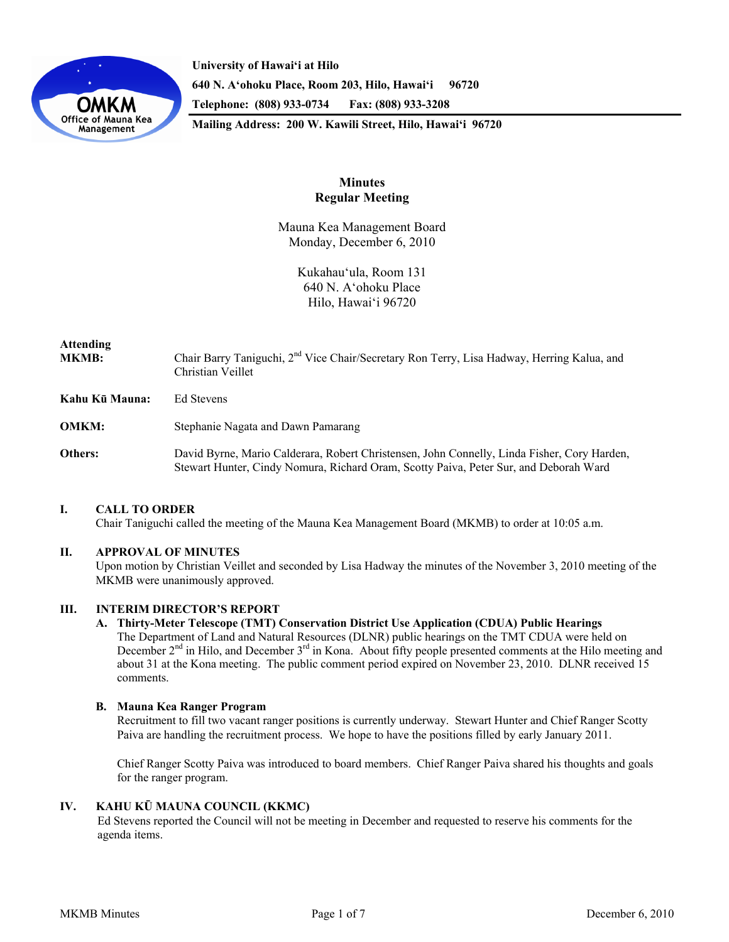

**University of Hawai'i at Hilo 640 N. A'ohoku Place, Room 203, Hilo, Hawai'i 96720 Telephone: (808) 933-0734 Fax: (808) 933-3208 Mailing Address: 200 W. Kawili Street, Hilo, Hawai'i 96720** 

# **Minutes Regular Meeting**

Mauna Kea Management Board Monday, December 6, 2010

> Kukahauʻula, Room 131 640 N. Aʻohoku Place Hilo, Hawaiʻi 96720

# **Attending MKMB:** Chair Barry Taniguchi, 2nd Vice Chair/Secretary Ron Terry, Lisa Hadway, Herring Kalua, and Christian Veillet **Kahu Kū Mauna:** Ed Stevens **OMKM:** Stephanie Nagata and Dawn Pamarang **Others:** David Byrne, Mario Calderara, Robert Christensen, John Connelly, Linda Fisher, Cory Harden, Stewart Hunter, Cindy Nomura, Richard Oram, Scotty Paiva, Peter Sur, and Deborah Ward

# **I. CALL TO ORDER**

Chair Taniguchi called the meeting of the Mauna Kea Management Board (MKMB) to order at 10:05 a.m.

## **II. APPROVAL OF MINUTES**

Upon motion by Christian Veillet and seconded by Lisa Hadway the minutes of the November 3, 2010 meeting of the MKMB were unanimously approved.

## **III. INTERIM DIRECTOR'S REPORT**

**A. Thirty-Meter Telescope (TMT) Conservation District Use Application (CDUA) Public Hearings**  The Department of Land and Natural Resources (DLNR) public hearings on the TMT CDUA were held on December 2<sup>nd</sup> in Hilo, and December 3<sup>rd</sup> in Kona. About fifty people presented comments at the Hilo meeting and about 31 at the Kona meeting. The public comment period expired on November 23, 2010. DLNR received 15 comments.

## **B. Mauna Kea Ranger Program**

Recruitment to fill two vacant ranger positions is currently underway. Stewart Hunter and Chief Ranger Scotty Paiva are handling the recruitment process. We hope to have the positions filled by early January 2011.

Chief Ranger Scotty Paiva was introduced to board members. Chief Ranger Paiva shared his thoughts and goals for the ranger program.

#### **IV. KAHU KŪ MAUNA COUNCIL (KKMC)**

Ed Stevens reported the Council will not be meeting in December and requested to reserve his comments for the agenda items.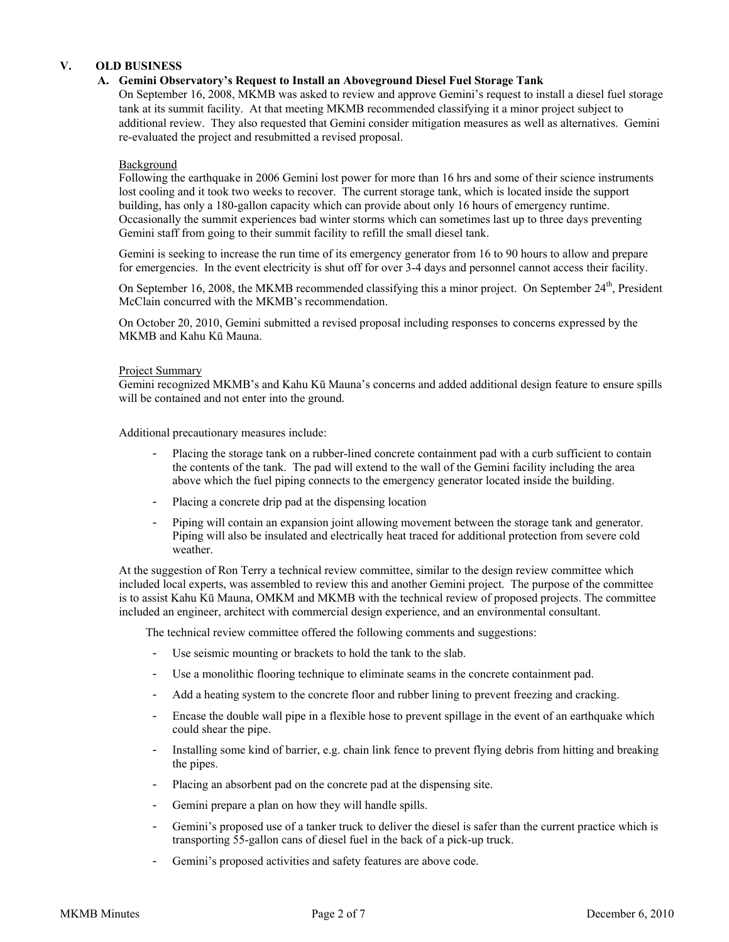# **V. OLD BUSINESS**

## **A. Gemini Observatory's Request to Install an Aboveground Diesel Fuel Storage Tank**

On September 16, 2008, MKMB was asked to review and approve Gemini's request to install a diesel fuel storage tank at its summit facility. At that meeting MKMB recommended classifying it a minor project subject to additional review. They also requested that Gemini consider mitigation measures as well as alternatives. Gemini re-evaluated the project and resubmitted a revised proposal.

### Background

Following the earthquake in 2006 Gemini lost power for more than 16 hrs and some of their science instruments lost cooling and it took two weeks to recover. The current storage tank, which is located inside the support building, has only a 180-gallon capacity which can provide about only 16 hours of emergency runtime. Occasionally the summit experiences bad winter storms which can sometimes last up to three days preventing Gemini staff from going to their summit facility to refill the small diesel tank.

Gemini is seeking to increase the run time of its emergency generator from 16 to 90 hours to allow and prepare for emergencies. In the event electricity is shut off for over 3-4 days and personnel cannot access their facility.

On September 16, 2008, the MKMB recommended classifying this a minor project. On September 24<sup>th</sup>, President McClain concurred with the MKMB's recommendation.

On October 20, 2010, Gemini submitted a revised proposal including responses to concerns expressed by the MKMB and Kahu Kū Mauna.

#### Project Summary

Gemini recognized MKMB's and Kahu Kū Mauna's concerns and added additional design feature to ensure spills will be contained and not enter into the ground.

Additional precautionary measures include:

- Placing the storage tank on a rubber-lined concrete containment pad with a curb sufficient to contain the contents of the tank. The pad will extend to the wall of the Gemini facility including the area above which the fuel piping connects to the emergency generator located inside the building.
- Placing a concrete drip pad at the dispensing location
- Piping will contain an expansion joint allowing movement between the storage tank and generator. Piping will also be insulated and electrically heat traced for additional protection from severe cold weather.

At the suggestion of Ron Terry a technical review committee, similar to the design review committee which included local experts, was assembled to review this and another Gemini project. The purpose of the committee is to assist Kahu Kū Mauna, OMKM and MKMB with the technical review of proposed projects. The committee included an engineer, architect with commercial design experience, and an environmental consultant.

The technical review committee offered the following comments and suggestions:

- Use seismic mounting or brackets to hold the tank to the slab.
- Use a monolithic flooring technique to eliminate seams in the concrete containment pad.
- Add a heating system to the concrete floor and rubber lining to prevent freezing and cracking.
- Encase the double wall pipe in a flexible hose to prevent spillage in the event of an earthquake which could shear the pipe.
- Installing some kind of barrier, e.g. chain link fence to prevent flying debris from hitting and breaking the pipes.
- Placing an absorbent pad on the concrete pad at the dispensing site.
- Gemini prepare a plan on how they will handle spills.
- Gemini's proposed use of a tanker truck to deliver the diesel is safer than the current practice which is transporting 55-gallon cans of diesel fuel in the back of a pick-up truck.
- Gemini's proposed activities and safety features are above code.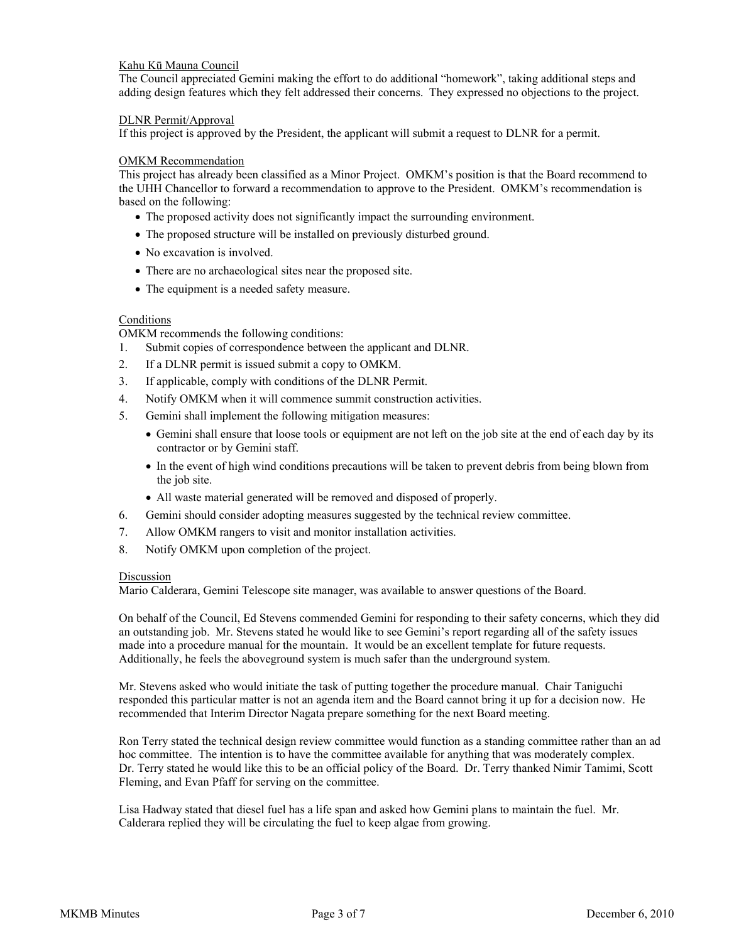## Kahu Kū Mauna Council

The Council appreciated Gemini making the effort to do additional "homework", taking additional steps and adding design features which they felt addressed their concerns. They expressed no objections to the project.

## DLNR Permit/Approval

If this project is approved by the President, the applicant will submit a request to DLNR for a permit.

## OMKM Recommendation

This project has already been classified as a Minor Project. OMKM's position is that the Board recommend to the UHH Chancellor to forward a recommendation to approve to the President. OMKM's recommendation is based on the following:

- The proposed activity does not significantly impact the surrounding environment.
- The proposed structure will be installed on previously disturbed ground.
- No excavation is involved.
- There are no archaeological sites near the proposed site.
- The equipment is a needed safety measure.

## Conditions

OMKM recommends the following conditions:

- 1. Submit copies of correspondence between the applicant and DLNR.
- 2. If a DLNR permit is issued submit a copy to OMKM.
- 3. If applicable, comply with conditions of the DLNR Permit.
- 4. Notify OMKM when it will commence summit construction activities.
- 5. Gemini shall implement the following mitigation measures:
	- Gemini shall ensure that loose tools or equipment are not left on the job site at the end of each day by its contractor or by Gemini staff.
	- In the event of high wind conditions precautions will be taken to prevent debris from being blown from the job site.
	- All waste material generated will be removed and disposed of properly.
- 6. Gemini should consider adopting measures suggested by the technical review committee.
- 7. Allow OMKM rangers to visit and monitor installation activities.
- 8. Notify OMKM upon completion of the project.

## Discussion

Mario Calderara, Gemini Telescope site manager, was available to answer questions of the Board.

On behalf of the Council, Ed Stevens commended Gemini for responding to their safety concerns, which they did an outstanding job. Mr. Stevens stated he would like to see Gemini's report regarding all of the safety issues made into a procedure manual for the mountain. It would be an excellent template for future requests. Additionally, he feels the aboveground system is much safer than the underground system.

Mr. Stevens asked who would initiate the task of putting together the procedure manual. Chair Taniguchi responded this particular matter is not an agenda item and the Board cannot bring it up for a decision now. He recommended that Interim Director Nagata prepare something for the next Board meeting.

Ron Terry stated the technical design review committee would function as a standing committee rather than an ad hoc committee. The intention is to have the committee available for anything that was moderately complex. Dr. Terry stated he would like this to be an official policy of the Board. Dr. Terry thanked Nimir Tamimi, Scott Fleming, and Evan Pfaff for serving on the committee.

Lisa Hadway stated that diesel fuel has a life span and asked how Gemini plans to maintain the fuel. Mr. Calderara replied they will be circulating the fuel to keep algae from growing.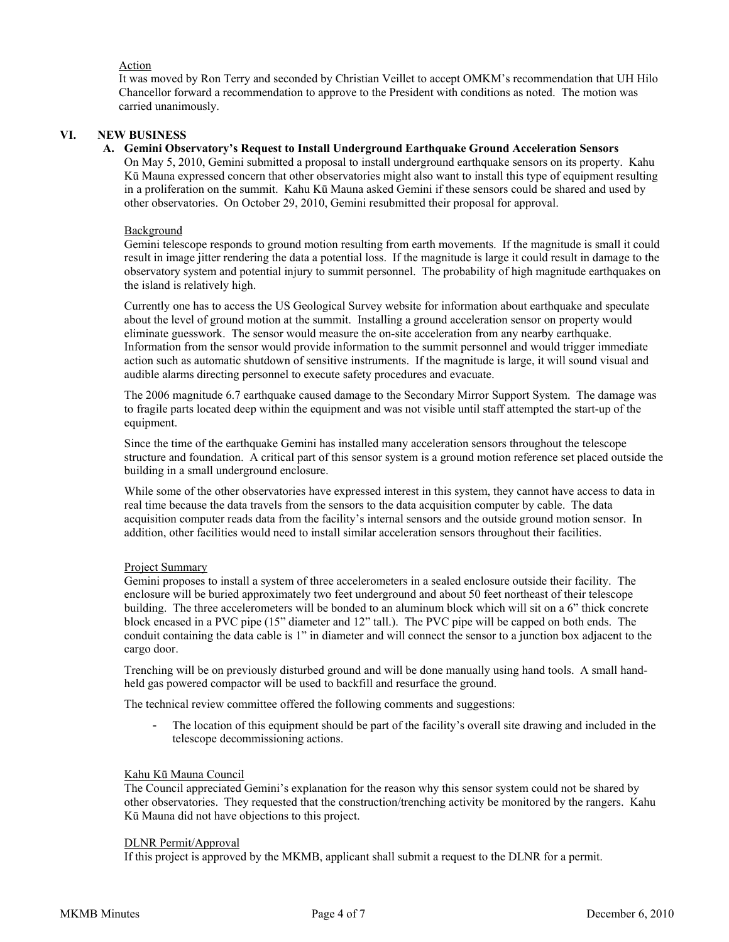## Action

It was moved by Ron Terry and seconded by Christian Veillet to accept OMKM's recommendation that UH Hilo Chancellor forward a recommendation to approve to the President with conditions as noted. The motion was carried unanimously.

### **VI. NEW BUSINESS**

## **A. Gemini Observatory's Request to Install Underground Earthquake Ground Acceleration Sensors**

On May 5, 2010, Gemini submitted a proposal to install underground earthquake sensors on its property. Kahu Kū Mauna expressed concern that other observatories might also want to install this type of equipment resulting in a proliferation on the summit. Kahu Kū Mauna asked Gemini if these sensors could be shared and used by other observatories. On October 29, 2010, Gemini resubmitted their proposal for approval.

#### Background

Gemini telescope responds to ground motion resulting from earth movements. If the magnitude is small it could result in image jitter rendering the data a potential loss. If the magnitude is large it could result in damage to the observatory system and potential injury to summit personnel. The probability of high magnitude earthquakes on the island is relatively high.

Currently one has to access the US Geological Survey website for information about earthquake and speculate about the level of ground motion at the summit. Installing a ground acceleration sensor on property would eliminate guesswork. The sensor would measure the on-site acceleration from any nearby earthquake. Information from the sensor would provide information to the summit personnel and would trigger immediate action such as automatic shutdown of sensitive instruments. If the magnitude is large, it will sound visual and audible alarms directing personnel to execute safety procedures and evacuate.

The 2006 magnitude 6.7 earthquake caused damage to the Secondary Mirror Support System. The damage was to fragile parts located deep within the equipment and was not visible until staff attempted the start-up of the equipment.

Since the time of the earthquake Gemini has installed many acceleration sensors throughout the telescope structure and foundation. A critical part of this sensor system is a ground motion reference set placed outside the building in a small underground enclosure.

While some of the other observatories have expressed interest in this system, they cannot have access to data in real time because the data travels from the sensors to the data acquisition computer by cable. The data acquisition computer reads data from the facility's internal sensors and the outside ground motion sensor. In addition, other facilities would need to install similar acceleration sensors throughout their facilities.

#### Project Summary

Gemini proposes to install a system of three accelerometers in a sealed enclosure outside their facility. The enclosure will be buried approximately two feet underground and about 50 feet northeast of their telescope building. The three accelerometers will be bonded to an aluminum block which will sit on a 6" thick concrete block encased in a PVC pipe (15" diameter and 12" tall.). The PVC pipe will be capped on both ends. The conduit containing the data cable is 1" in diameter and will connect the sensor to a junction box adjacent to the cargo door.

Trenching will be on previously disturbed ground and will be done manually using hand tools. A small handheld gas powered compactor will be used to backfill and resurface the ground.

The technical review committee offered the following comments and suggestions:

The location of this equipment should be part of the facility's overall site drawing and included in the telescope decommissioning actions.

#### Kahu Kū Mauna Council

The Council appreciated Gemini's explanation for the reason why this sensor system could not be shared by other observatories. They requested that the construction/trenching activity be monitored by the rangers. Kahu Kū Mauna did not have objections to this project.

#### DLNR Permit/Approval

If this project is approved by the MKMB, applicant shall submit a request to the DLNR for a permit.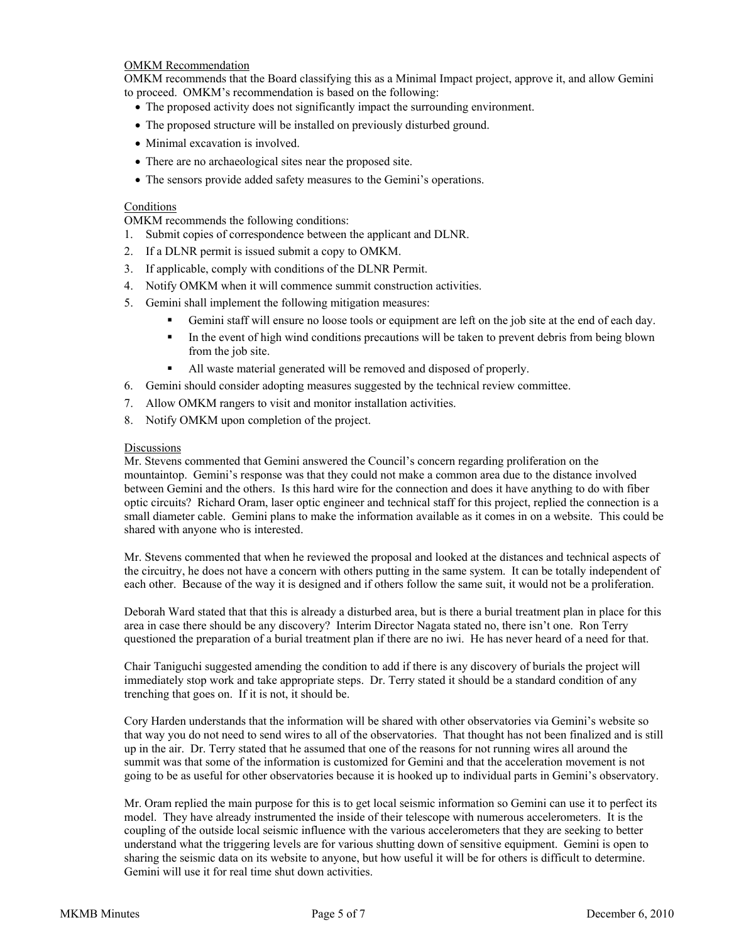## OMKM Recommendation

OMKM recommends that the Board classifying this as a Minimal Impact project, approve it, and allow Gemini to proceed. OMKM's recommendation is based on the following:

- The proposed activity does not significantly impact the surrounding environment.
- The proposed structure will be installed on previously disturbed ground.
- Minimal excavation is involved.
- There are no archaeological sites near the proposed site.
- The sensors provide added safety measures to the Gemini's operations.

## Conditions

OMKM recommends the following conditions:

- 1. Submit copies of correspondence between the applicant and DLNR.
- 2. If a DLNR permit is issued submit a copy to OMKM.
- 3. If applicable, comply with conditions of the DLNR Permit.
- 4. Notify OMKM when it will commence summit construction activities.
- 5. Gemini shall implement the following mitigation measures:
	- Gemini staff will ensure no loose tools or equipment are left on the job site at the end of each day.
	- In the event of high wind conditions precautions will be taken to prevent debris from being blown from the job site.
	- All waste material generated will be removed and disposed of properly.
- 6. Gemini should consider adopting measures suggested by the technical review committee.
- 7. Allow OMKM rangers to visit and monitor installation activities.
- 8. Notify OMKM upon completion of the project.

## **Discussions**

Mr. Stevens commented that Gemini answered the Council's concern regarding proliferation on the mountaintop. Gemini's response was that they could not make a common area due to the distance involved between Gemini and the others. Is this hard wire for the connection and does it have anything to do with fiber optic circuits? Richard Oram, laser optic engineer and technical staff for this project, replied the connection is a small diameter cable. Gemini plans to make the information available as it comes in on a website. This could be shared with anyone who is interested.

Mr. Stevens commented that when he reviewed the proposal and looked at the distances and technical aspects of the circuitry, he does not have a concern with others putting in the same system. It can be totally independent of each other. Because of the way it is designed and if others follow the same suit, it would not be a proliferation.

Deborah Ward stated that that this is already a disturbed area, but is there a burial treatment plan in place for this area in case there should be any discovery? Interim Director Nagata stated no, there isn't one. Ron Terry questioned the preparation of a burial treatment plan if there are no iwi. He has never heard of a need for that.

Chair Taniguchi suggested amending the condition to add if there is any discovery of burials the project will immediately stop work and take appropriate steps. Dr. Terry stated it should be a standard condition of any trenching that goes on. If it is not, it should be.

Cory Harden understands that the information will be shared with other observatories via Gemini's website so that way you do not need to send wires to all of the observatories. That thought has not been finalized and is still up in the air. Dr. Terry stated that he assumed that one of the reasons for not running wires all around the summit was that some of the information is customized for Gemini and that the acceleration movement is not going to be as useful for other observatories because it is hooked up to individual parts in Gemini's observatory.

Mr. Oram replied the main purpose for this is to get local seismic information so Gemini can use it to perfect its model. They have already instrumented the inside of their telescope with numerous accelerometers. It is the coupling of the outside local seismic influence with the various accelerometers that they are seeking to better understand what the triggering levels are for various shutting down of sensitive equipment. Gemini is open to sharing the seismic data on its website to anyone, but how useful it will be for others is difficult to determine. Gemini will use it for real time shut down activities.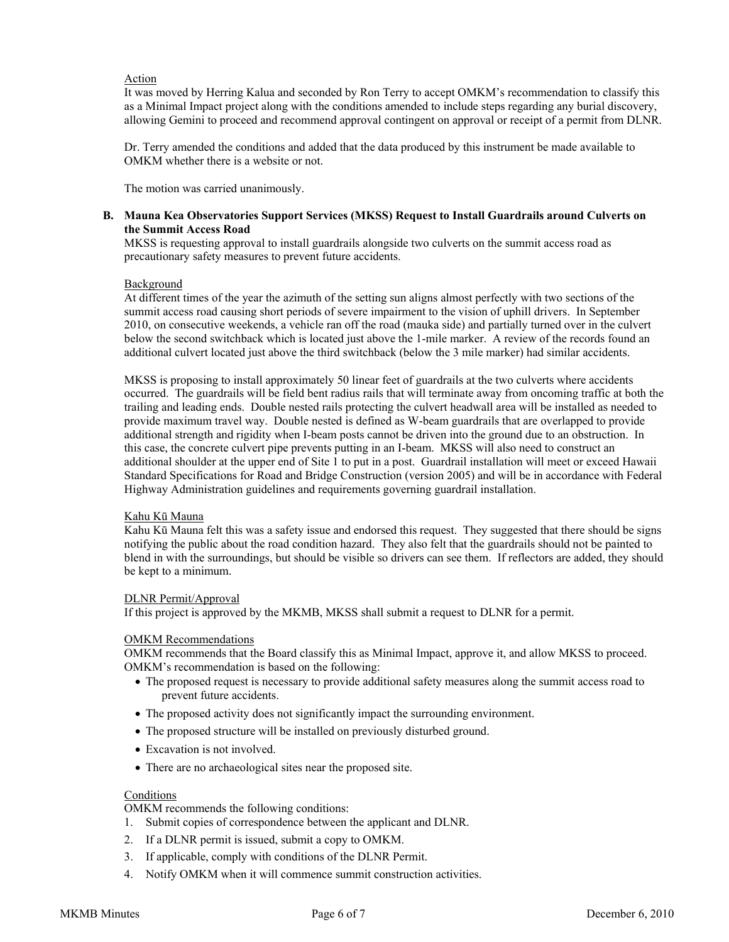## Action

It was moved by Herring Kalua and seconded by Ron Terry to accept OMKM's recommendation to classify this as a Minimal Impact project along with the conditions amended to include steps regarding any burial discovery, allowing Gemini to proceed and recommend approval contingent on approval or receipt of a permit from DLNR.

Dr. Terry amended the conditions and added that the data produced by this instrument be made available to OMKM whether there is a website or not.

The motion was carried unanimously.

## **B. Mauna Kea Observatories Support Services (MKSS) Request to Install Guardrails around Culverts on the Summit Access Road**

MKSS is requesting approval to install guardrails alongside two culverts on the summit access road as precautionary safety measures to prevent future accidents.

### Background

At different times of the year the azimuth of the setting sun aligns almost perfectly with two sections of the summit access road causing short periods of severe impairment to the vision of uphill drivers. In September 2010, on consecutive weekends, a vehicle ran off the road (mauka side) and partially turned over in the culvert below the second switchback which is located just above the 1-mile marker. A review of the records found an additional culvert located just above the third switchback (below the 3 mile marker) had similar accidents.

MKSS is proposing to install approximately 50 linear feet of guardrails at the two culverts where accidents occurred. The guardrails will be field bent radius rails that will terminate away from oncoming traffic at both the trailing and leading ends. Double nested rails protecting the culvert headwall area will be installed as needed to provide maximum travel way. Double nested is defined as W-beam guardrails that are overlapped to provide additional strength and rigidity when I-beam posts cannot be driven into the ground due to an obstruction. In this case, the concrete culvert pipe prevents putting in an I-beam. MKSS will also need to construct an additional shoulder at the upper end of Site 1 to put in a post. Guardrail installation will meet or exceed Hawaii Standard Specifications for Road and Bridge Construction (version 2005) and will be in accordance with Federal Highway Administration guidelines and requirements governing guardrail installation.

#### Kahu Kū Mauna

Kahu Kū Mauna felt this was a safety issue and endorsed this request. They suggested that there should be signs notifying the public about the road condition hazard. They also felt that the guardrails should not be painted to blend in with the surroundings, but should be visible so drivers can see them. If reflectors are added, they should be kept to a minimum.

## DLNR Permit/Approval

If this project is approved by the MKMB, MKSS shall submit a request to DLNR for a permit.

#### OMKM Recommendations

OMKM recommends that the Board classify this as Minimal Impact, approve it, and allow MKSS to proceed. OMKM's recommendation is based on the following:

- The proposed request is necessary to provide additional safety measures along the summit access road to prevent future accidents.
- The proposed activity does not significantly impact the surrounding environment.
- The proposed structure will be installed on previously disturbed ground.
- Excavation is not involved.
- There are no archaeological sites near the proposed site.

## **Conditions**

OMKM recommends the following conditions:

- 1. Submit copies of correspondence between the applicant and DLNR.
- 2. If a DLNR permit is issued, submit a copy to OMKM.
- 3. If applicable, comply with conditions of the DLNR Permit.
- 4. Notify OMKM when it will commence summit construction activities.